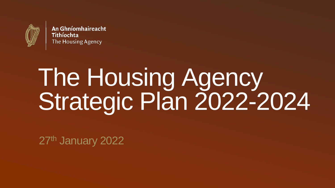

An Ghníomhaireacht Tithíochta The Housing Agency

# The Housing Agency Strategic Plan 2022-2024

27<sup>th</sup> January 2022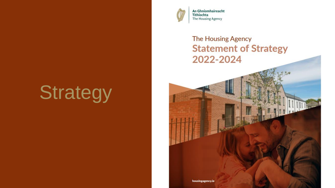## **Strategy**



An Ghníomhaireacht Tithíochta The Housing Agency

#### **The Housing Agency Statement of Strategy** 2022-2024

housingagency.ie

The Housing Agency **2**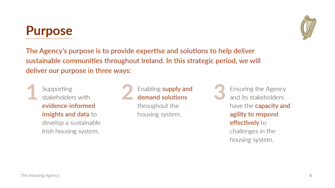#### **Purpose**

The Agency's purpose is to provide expertise and solutions to help deliver sustainable communities throughout Ireland. In this strategic period, we will deliver our purpose in three ways:

Supporting stakeholders with evidence-informed insights and data to develop a sustainable Irish housing system.

Enabling supply and demand solutions throughout the housing system.

**Ensuring the Agency** and its stakeholders have the capacity and agility to respond effectively to challenges in the housing system.

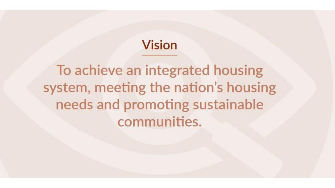### **Vision**

To achieve an integrated housing system, meeting the nation's housing needs and promoting sustainable communities.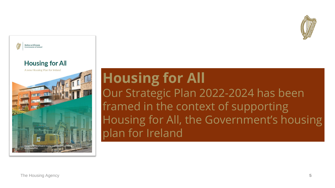



# **Housing for All**

Our Strategic Plan 2022-2024 has been framed in the context of supporting Housing for All, the Government's housing plan for Ireland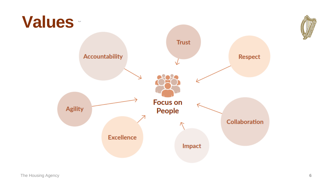

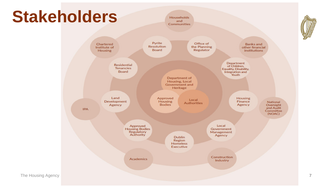### **Stakeholders**

**Households** and **Communities** 



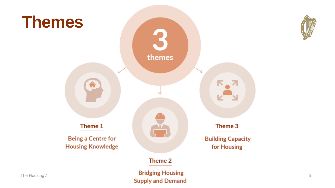

The Housing Agency **8**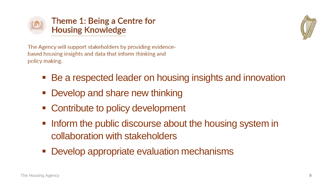



The Agency will support stakeholders by providing evidencebased housing insights and data that inform thinking and policy making.

- Be a respected leader on housing insights and innovation
- Develop and share new thinking
- Contribute to policy development
- **Inform the public discourse about the housing system in** collaboration with stakeholders
- Develop appropriate evaluation mechanisms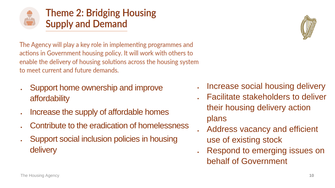

**Theme 2: Bridging Housing Supply and Demand** 

The Agency will play a key role in implementing programmes and actions in Government housing policy. It will work with others to enable the delivery of housing solutions across the housing system to meet current and future demands.

- Support home ownership and improve affordability
- Increase the supply of affordable homes
- Contribute to the eradication of homelessness
- Support social inclusion policies in housing delivery



- Facilitate stakeholders to deliver their housing delivery action plans
- Address vacancy and efficient use of existing stock
- Respond to emerging issues on behalf of Government

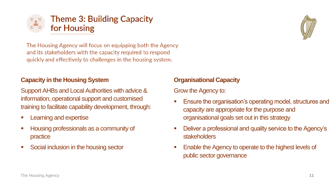

The Housing Agency will focus on equipping both the Agency and its stakeholders with the capacity required to respond quickly and effectively to challenges in the housing system.

#### **Capacity in the Housing System**

Support AHBs and Local Authorities with advice & information, operational support and customised training to facilitate capability development, through:

- **Learning and expertise**
- Housing professionals as a community of practice
- Social inclusion in the housing sector

#### **Organisational Capacity**

Grow the Agency to:

- Ensure the organisation's operating model, structures and capacity are appropriate for the purpose and organisational goals set out in this strategy
- Deliver a professional and quality service to the Agency's stakeholders
- Enable the Agency to operate to the highest levels of public sector governance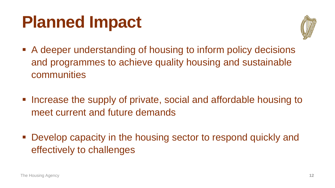## **Planned Impact**



- A deeper understanding of housing to inform policy decisions and programmes to achieve quality housing and sustainable communities
- Increase the supply of private, social and affordable housing to meet current and future demands
- Develop capacity in the housing sector to respond quickly and effectively to challenges